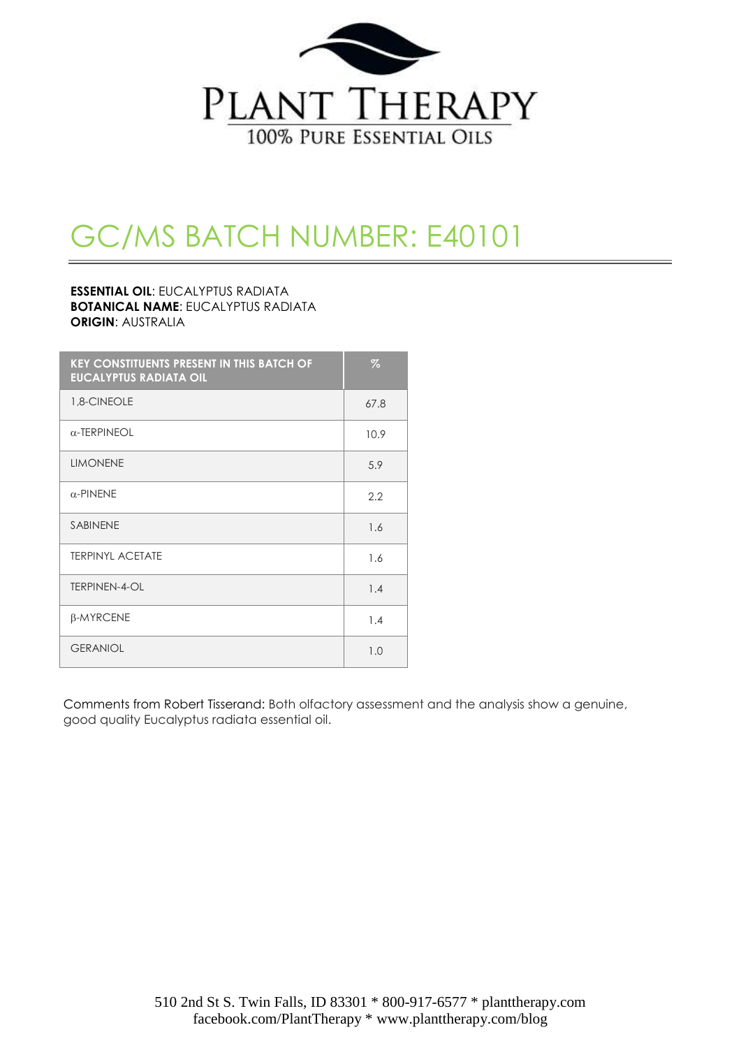

# GC/MS BATCH NUMBER: E40101

#### **ESSENTIAL OIL**: EUCALYPTUS RADIATA **BOTANICAL NAME**: EUCALYPTUS RADIATA **ORIGIN**: AUSTRALIA

| <b>KEY CONSTITUENTS PRESENT IN THIS BATCH OF</b><br><b>EUCALYPTUS RADIATA OIL</b> | $\%$ |
|-----------------------------------------------------------------------------------|------|
| 1,8-CINEOLE                                                                       | 67.8 |
| $\alpha$ -TERPINEOL                                                               | 10.9 |
| <b>LIMONENE</b>                                                                   | 5.9  |
| $\alpha$ -PINENE                                                                  | 2.2  |
| <b>SABINENE</b>                                                                   | 1.6  |
| <b>TERPINYL ACETATE</b>                                                           | 1.6  |
| <b>TERPINEN-4-OL</b>                                                              | 1.4  |
| β-MYRCENE                                                                         | 1.4  |
| <b>GERANIOL</b>                                                                   | 1.0  |

Comments from Robert Tisserand: Both olfactory assessment and the analysis show a genuine, good quality Eucalyptus radiata essential oil.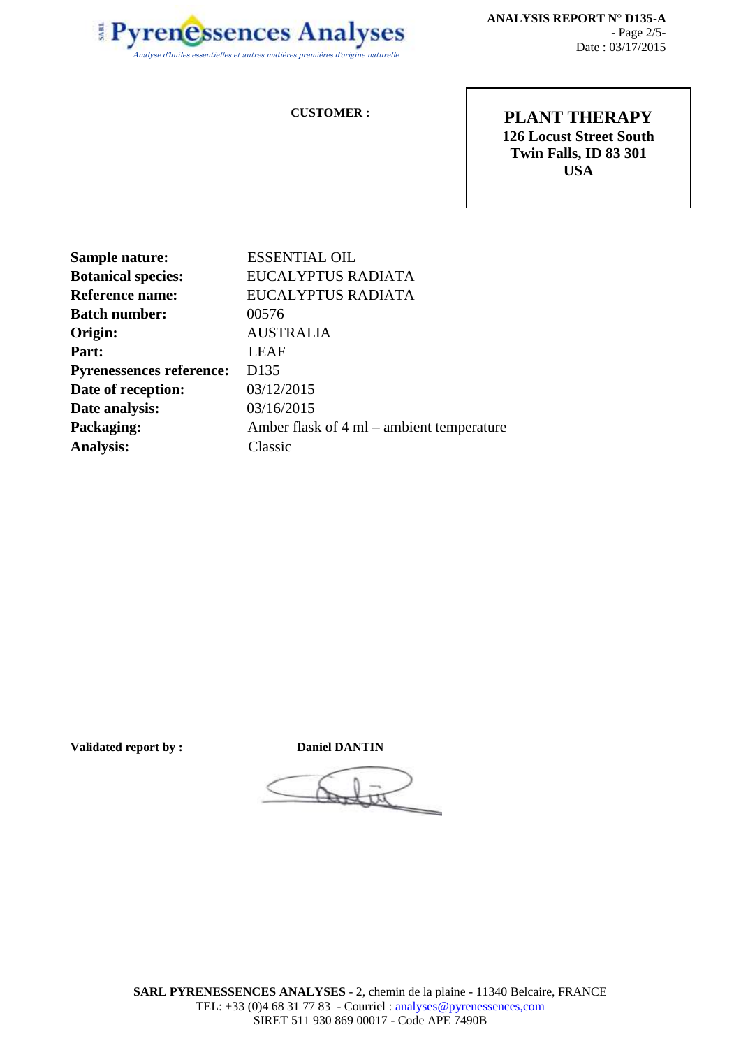

**ANALYSIS REPORT N° D135-A** - Page 2/5- Date : 03/17/2015

#### **CUSTOMER :**

**PLANT THERAPY 126 Locust Street South Twin Falls, ID 83 301 USA**

| <b>ESSENTIAL OIL</b>                      |
|-------------------------------------------|
| EUCALYPTUS RADIATA                        |
| EUCALYPTUS RADIATA                        |
| 00576                                     |
| <b>AUSTRALIA</b>                          |
| <b>LEAF</b>                               |
| D <sub>135</sub>                          |
| 03/12/2015                                |
| 03/16/2015                                |
| Amber flask of 4 ml – ambient temperature |
| Classic                                   |
|                                           |

**Validated report by : Daniel DANTIN**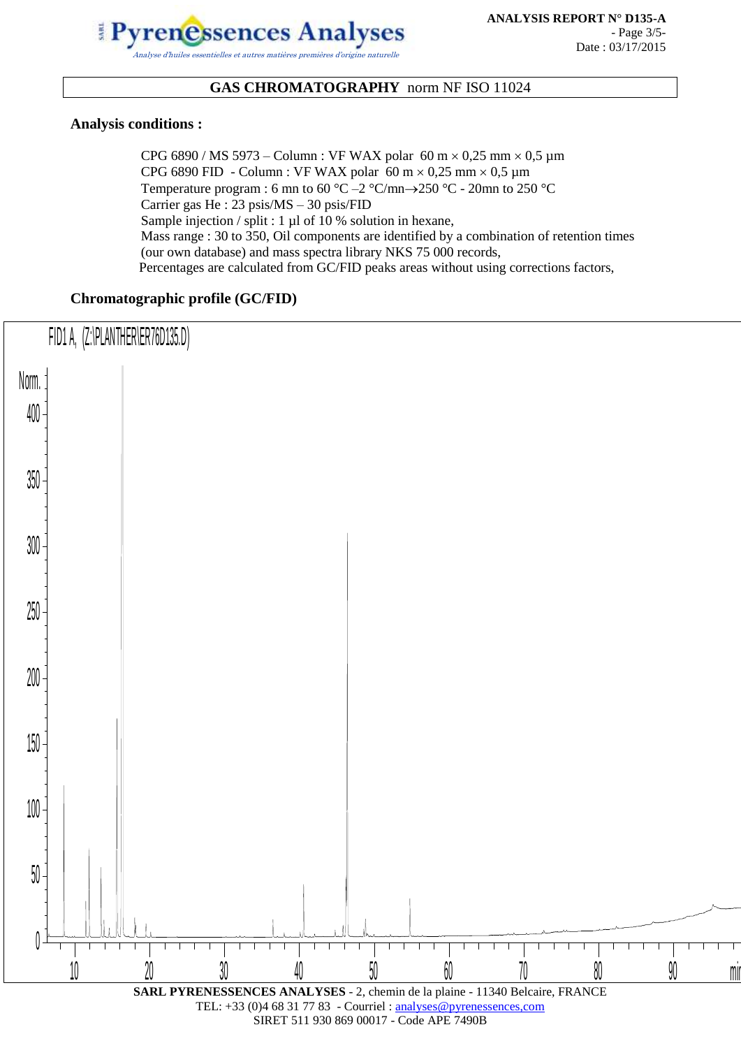

### **GAS CHROMATOGRAPHY** norm NF ISO 11024

#### **Analysis conditions :**

CPG 6890 / MS 5973 – Column : VF WAX polar 60 m  $\times$  0,25 mm  $\times$  0,5 µm CPG 6890 FID - Column : VF WAX polar 60 m  $\times$  0,25 mm  $\times$  0,5 µm Temperature program : 6 mn to 60 °C – 2 °C/mn $\rightarrow$  250 °C - 20mn to 250 °C Carrier gas He : 23 psis/MS – 30 psis/FID Sample injection / split : 1 µl of 10 % solution in hexane, Mass range : 30 to 350, Oil components are identified by a combination of retention times (our own database) and mass spectra library NKS 75 000 records, Percentages are calculated from GC/FID peaks areas without using corrections factors,

#### **Chromatographic profile (GC/FID)**

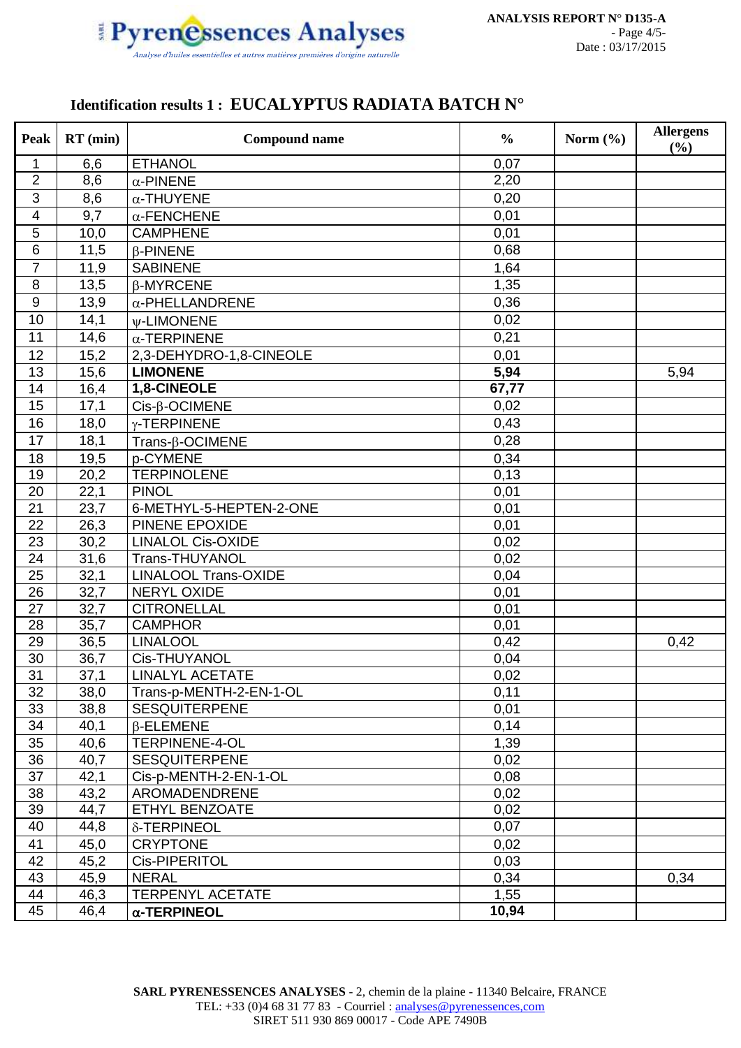

## **Identification results 1 : EUCALYPTUS RADIATA BATCH N°**

| Peak            | $RT$ (min) | <b>Compound name</b>        | $\frac{0}{0}$ | Norm $(\% )$ | <b>Allergens</b><br>(%) |
|-----------------|------------|-----------------------------|---------------|--------------|-------------------------|
| 1               | 6,6        | <b>ETHANOL</b>              | 0,07          |              |                         |
| $\overline{2}$  | 8,6        | $\alpha$ -PINENE            | 2,20          |              |                         |
| 3               | 8,6        | $\alpha$ -THUYENE           | 0,20          |              |                         |
| $\overline{4}$  | 9,7        | $\alpha$ -FENCHENE          | 0,01          |              |                         |
| 5               | 10,0       | <b>CAMPHENE</b>             | 0,01          |              |                         |
| $6\phantom{1}6$ | 11,5       | <b>B-PINENE</b>             | 0,68          |              |                         |
| $\overline{7}$  | 11,9       | <b>SABINENE</b>             | 1,64          |              |                         |
| 8               | 13,5       | $\beta$ -MYRCENE            | 1,35          |              |                         |
| $9$             | 13,9       | $\alpha$ -PHELLANDRENE      | 0,36          |              |                         |
| 10              | 14,1       | <b>w-LIMONENE</b>           | 0,02          |              |                         |
| 11              | 14,6       | $\alpha$ -TERPINENE         | 0,21          |              |                         |
| 12              | 15,2       | 2,3-DEHYDRO-1,8-CINEOLE     | 0,01          |              |                         |
| 13              | 15,6       | <b>LIMONENE</b>             | 5,94          |              | 5,94                    |
| 14              | 16,4       | 1,8-CINEOLE                 | 67,77         |              |                         |
| 15              | 17,1       | $Cis-\beta-OCIMENE$         | 0,02          |              |                         |
| 16              | 18,0       | y-TERPINENE                 | 0,43          |              |                         |
| 17              | 18,1       | $Trans-\beta-OCIMENE$       | 0,28          |              |                         |
| 18              | 19,5       | p-CYMENE                    | 0,34          |              |                         |
| 19              | 20,2       | <b>TERPINOLENE</b>          | 0,13          |              |                         |
| 20              | 22,1       | <b>PINOL</b>                | 0,01          |              |                         |
| 21              | 23,7       | 6-METHYL-5-HEPTEN-2-ONE     | 0,01          |              |                         |
| 22              | 26,3       | PINENE EPOXIDE              | 0,01          |              |                         |
| 23              | 30,2       | <b>LINALOL Cis-OXIDE</b>    | 0,02          |              |                         |
| 24              | 31,6       | Trans-THUYANOL              | 0,02          |              |                         |
| 25              | 32,1       | <b>LINALOOL Trans-OXIDE</b> | 0,04          |              |                         |
| 26              | 32,7       | NERYL OXIDE                 | 0,01          |              |                         |
| 27              | 32,7       | <b>CITRONELLAL</b>          | 0,01          |              |                         |
| 28              | 35,7       | <b>CAMPHOR</b>              | 0,01          |              |                         |
| 29              | 36,5       | <b>LINALOOL</b>             | 0,42          |              | 0,42                    |
| 30              | 36,7       | Cis-THUYANOL                | 0,04          |              |                         |
| 31              | 37,1       | <b>LINALYL ACETATE</b>      | 0,02          |              |                         |
| 32              | 38,0       | Trans-p-MENTH-2-EN-1-OL     | 0,11          |              |                         |
| 33              | 38,8       | <b>SESQUITERPENE</b>        | 0,01          |              |                         |
| 34              | 40,1       | $\beta$ -ELEMENE            | 0,14          |              |                         |
| 35              | 40,6       | <b>TERPINENE-4-OL</b>       | 1,39          |              |                         |
| 36              | 40,7       | <b>SESQUITERPENE</b>        | 0,02          |              |                         |
| 37              | 42,1       | Cis-p-MENTH-2-EN-1-OL       | 0,08          |              |                         |
| 38              | 43,2       | AROMADENDRENE               | 0,02          |              |                         |
| 39              | 44,7       | ETHYL BENZOATE              | 0,02          |              |                         |
| 40              | 44,8       | δ-TERPINEOL                 | 0,07          |              |                         |
| 41              | 45,0       | <b>CRYPTONE</b>             | 0,02          |              |                         |
| 42              | 45,2       | Cis-PIPERITOL               | 0,03          |              |                         |
| 43              | 45,9       | <b>NERAL</b>                | 0,34          |              | 0,34                    |
| 44              | 46,3       | <b>TERPENYL ACETATE</b>     | 1,55          |              |                         |
| 45              | 46,4       | $\alpha$ -TERPINEOL         | 10,94         |              |                         |